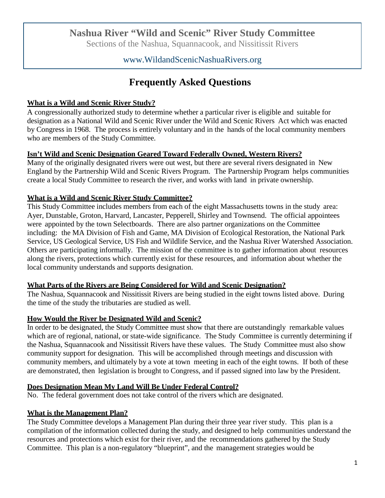## **Nashua River "Wild and Scenic" River Study Committee**

Sections of the Nashua, Squannacook, and Nissitissit Rivers

## www.WildandScenicNashuaRivers.org

# **Frequently Asked Questions**

#### **What is a Wild and Scenic River Study?**

A congressionally authorized study to determine whether a particular river is eligible and suitable for designation as a National Wild and Scenic River under the Wild and Scenic Rivers Act which was enacted by Congress in 1968. The process is entirely voluntary and in the hands of the local community members who are members of the Study Committee.

#### **Isn't Wild and Scenic Designation Geared Toward Federally Owned, Western Rivers?**

Many of the originally designated rivers were out west, but there are several rivers designated in New England by the Partnership Wild and Scenic Rivers Program. The Partnership Program helps communities create a local Study Committee to research the river, and works with land in private ownership.

#### **What is a Wild and Scenic River Study Committee?**

This Study Committee includes members from each of the eight Massachusetts towns in the study area: Ayer, Dunstable, Groton, Harvard, Lancaster, Pepperell, Shirley and Townsend. The official appointees were appointed by the town Selectboards. There are also partner organizations on the Committee including: the MA Division of Fish and Game, MA Division of Ecological Restoration, the National Park Service, US Geological Service, US Fish and Wildlife Service, and the Nashua River Watershed Association. Others are participating informally. The mission of the committee is to gather information about resources along the rivers, protections which currently exist for these resources, and information about whether the local community understands and supports designation.

#### **What Parts of the Rivers are Being Considered for Wild and Scenic Designation?**

The Nashua, Squannacook and Nissitissit Rivers are being studied in the eight towns listed above. During the time of the study the tributaries are studied as well.

#### **How Would the River be Designated Wild and Scenic?**

In order to be designated, the Study Committee must show that there are outstandingly remarkable values which are of regional, national, or state-wide significance. The Study Committee is currently determining if the Nashua, Squannacook and Nissitissit Rivers have these values. The Study Committee must also show community support for designation. This will be accomplished through meetings and discussion with community members, and ultimately by a vote at town meeting in each of the eight towns. If both of these are demonstrated, then legislation is brought to Congress, and if passed signed into law by the President.

#### **Does Designation Mean My Land Will Be Under Federal Control?**

No. The federal government does not take control of the rivers which are designated.

#### **What is the Management Plan?**

The Study Committee develops a Management Plan during their three year river study. This plan is a compilation of the information collected during the study, and designed to help communities understand the resources and protections which exist for their river, and the recommendations gathered by the Study Committee. This plan is a non-regulatory "blueprint", and the management strategies would be